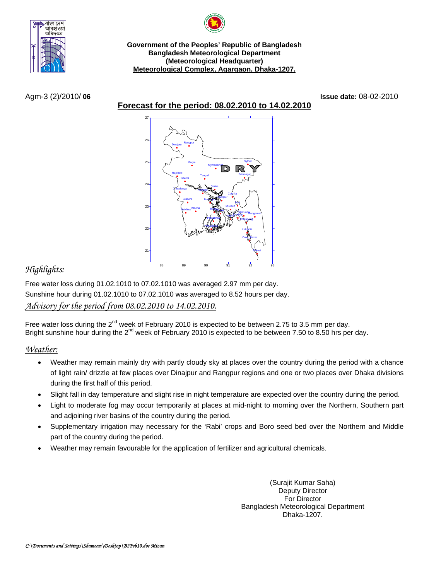

**Government of the Peoples' Republic of Bangladesh Bangladesh Meteorological Department (Meteorological Headquarter) Meteorological Complex, Agargaon, Dhaka-1207.**

**Forecast for the period: 08.02.2010 to 14.02.2010**

Agm-3 (2)/2010/ **06 Issue date:** 08-02-2010



# *Highlights:*

Free water loss during 01.02.1010 to 07.02.1010 was averaged 2.97 mm per day. Sunshine hour during 01.02.1010 to 07.02.1010 was averaged to 8.52 hours per day. *Advisory for the period from 08.02.2010 to 14.02.2010.*

Free water loss during the 2<sup>nd</sup> week of February 2010 is expected to be between 2.75 to 3.5 mm per day. Bright sunshine hour during the 2<sup>nd</sup> week of February 2010 is expected to be between 7.50 to 8.50 hrs per day.

## *Weather:*

- Weather may remain mainly dry with partly cloudy sky at places over the country during the period with a chance of light rain/ drizzle at few places over Dinajpur and Rangpur regions and one or two places over Dhaka divisions during the first half of this period.
- Slight fall in day temperature and slight rise in night temperature are expected over the country during the period.
- Light to moderate fog may occur temporarily at places at mid-night to morning over the Northern, Southern part and adjoining river basins of the country during the period.
- Supplementary irrigation may necessary for the 'Rabi' crops and Boro seed bed over the Northern and Middle part of the country during the period.
- Weather may remain favourable for the application of fertilizer and agricultural chemicals.

(Surajit Kumar Saha) Deputy Director For Director Bangladesh Meteorological Department Dhaka-1207.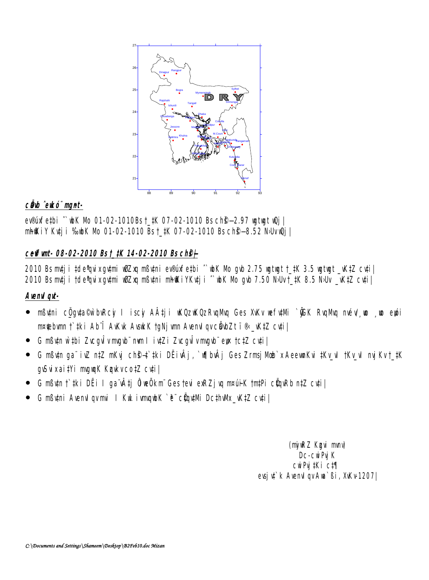

## cho eko mut-

evemethi ~ bK Nb 01-02-1010Bst\_tK 07-02-1010 Bs chg-2.97 untunt w2j **nhill iv Kuj i %bK Nb 01-02-1010 Bst\_#K 07-02-1010 Bs chg-8.52 NUvQj |** 

## ceffunt-08-02-2010 Bst\_#K 14-02-2010 Bsch9+

2010 Bs mtj i tde'tuixqutmi ulizaq mßutni ev®úafetbi ^ ubK Nb gub 2.75 ugtugt †\_tK 3.5 ugtugt \_vKtZ cuti | 2010 Bsmtj i †de\*nixqvtni v8Zxq nßvtni nhikiYKvtj i ^ bK Nb qvb 7.50 NJv† 1K 8.5 NJv \_vKtZ cyti |

## Avend gut-

- mßutni cÖguta©ù buRcy I iscy AÂtji uKQzuKQz RuqMq Ges XuKv wefutMi `yGK RuqMq mév', p , p eyji **nriebym † iki Ab'î AKık AvakK taNj ym Avend gycëvbZt f®\_KtZ cyti |**
- G mßutn w`thi Zucgultungub" nun litutzi Zucgultungub" eye tctz cuti |
- G mߢn ga" ivZ n‡Z nKyj ch\$-‡ ‡ki DËivÂj, `v[]bvÂj Ges ZrmsjMb`x AeeunKvi ‡Ky\_vI †Ky\_vI myjKv†\_‡K gwixai#i mguk KukvcotZ cui|
- G nßun † tki DËi I ga vÂtj ÔveÔkm Gestevi exeZj va n¤uik tmtPi cünRb n‡Z cuti  $\bullet$
- G mßuni Avend gymi I Kul ivngub K e cüntilli Dethulk\_vKtZ cuti  $\bullet$

(ný RZ Kgui mný Dc-cuiPyj K cwPu IKi ct¶ evsj u<sup>\*</sup> k Avenul gv Aua<sup>\*</sup> Bi, XvKv 1207 |